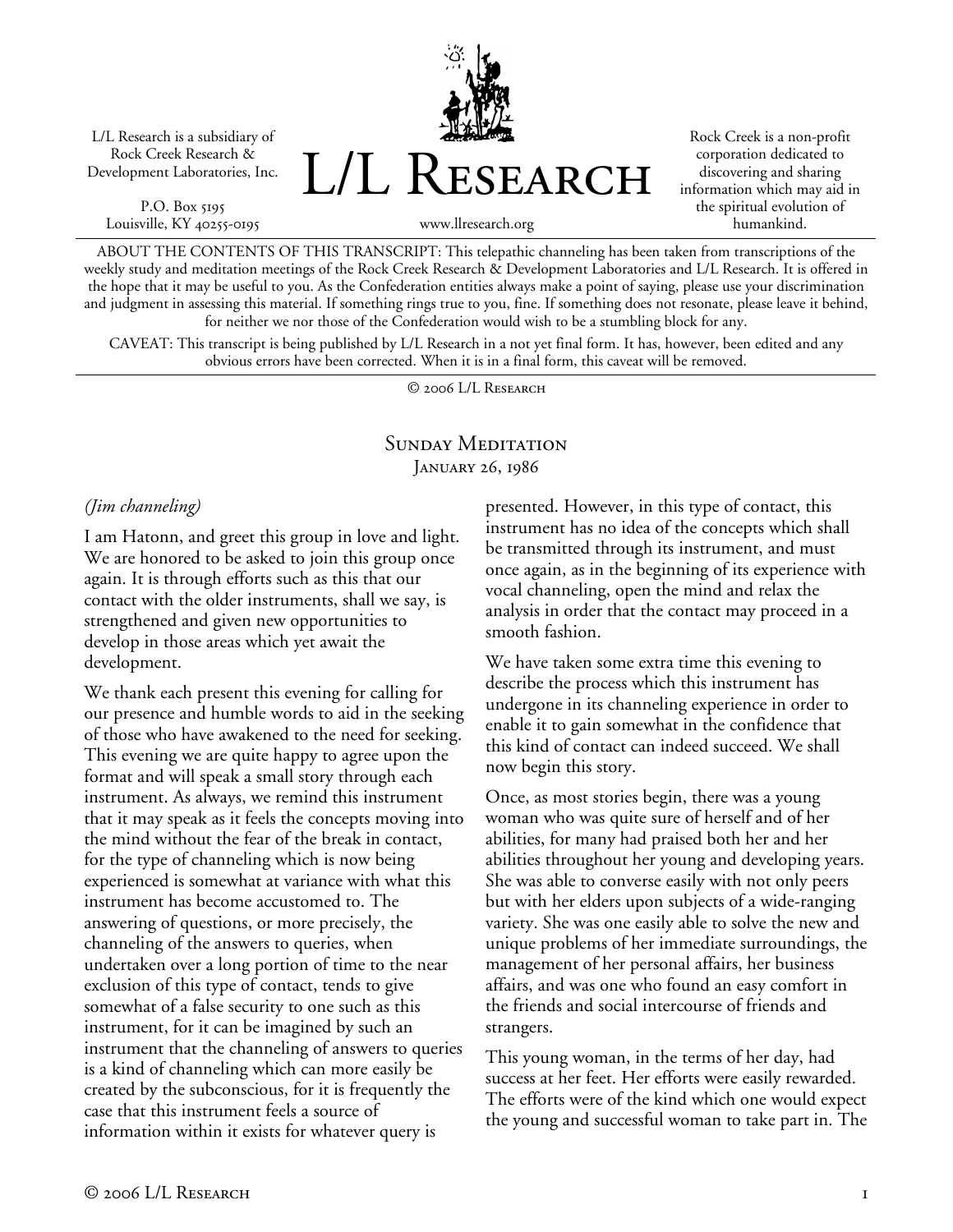L/L Research is a subsidiary of Rock Creek Research & Development Laboratories, Inc.

P.O. Box 5195 Louisville, KY 40255-0195 L/L Research

Rock Creek is a non-profit corporation dedicated to discovering and sharing information which may aid in the spiritual evolution of humankind.

www.llresearch.org

ABOUT THE CONTENTS OF THIS TRANSCRIPT: This telepathic channeling has been taken from transcriptions of the weekly study and meditation meetings of the Rock Creek Research & Development Laboratories and L/L Research. It is offered in the hope that it may be useful to you. As the Confederation entities always make a point of saying, please use your discrimination and judgment in assessing this material. If something rings true to you, fine. If something does not resonate, please leave it behind, for neither we nor those of the Confederation would wish to be a stumbling block for any.

CAVEAT: This transcript is being published by L/L Research in a not yet final form. It has, however, been edited and any obvious errors have been corrected. When it is in a final form, this caveat will be removed.

© 2006 L/L Research

### SUNDAY MEDITATION JANUARY 26, 1986

#### *(Jim channeling)*

I am Hatonn, and greet this group in love and light. We are honored to be asked to join this group once again. It is through efforts such as this that our contact with the older instruments, shall we say, is strengthened and given new opportunities to develop in those areas which yet await the development.

We thank each present this evening for calling for our presence and humble words to aid in the seeking of those who have awakened to the need for seeking. This evening we are quite happy to agree upon the format and will speak a small story through each instrument. As always, we remind this instrument that it may speak as it feels the concepts moving into the mind without the fear of the break in contact, for the type of channeling which is now being experienced is somewhat at variance with what this instrument has become accustomed to. The answering of questions, or more precisely, the channeling of the answers to queries, when undertaken over a long portion of time to the near exclusion of this type of contact, tends to give somewhat of a false security to one such as this instrument, for it can be imagined by such an instrument that the channeling of answers to queries is a kind of channeling which can more easily be created by the subconscious, for it is frequently the case that this instrument feels a source of information within it exists for whatever query is

presented. However, in this type of contact, this instrument has no idea of the concepts which shall be transmitted through its instrument, and must once again, as in the beginning of its experience with vocal channeling, open the mind and relax the analysis in order that the contact may proceed in a smooth fashion.

We have taken some extra time this evening to describe the process which this instrument has undergone in its channeling experience in order to enable it to gain somewhat in the confidence that this kind of contact can indeed succeed. We shall now begin this story.

Once, as most stories begin, there was a young woman who was quite sure of herself and of her abilities, for many had praised both her and her abilities throughout her young and developing years. She was able to converse easily with not only peers but with her elders upon subjects of a wide-ranging variety. She was one easily able to solve the new and unique problems of her immediate surroundings, the management of her personal affairs, her business affairs, and was one who found an easy comfort in the friends and social intercourse of friends and strangers.

This young woman, in the terms of her day, had success at her feet. Her efforts were easily rewarded. The efforts were of the kind which one would expect the young and successful woman to take part in. The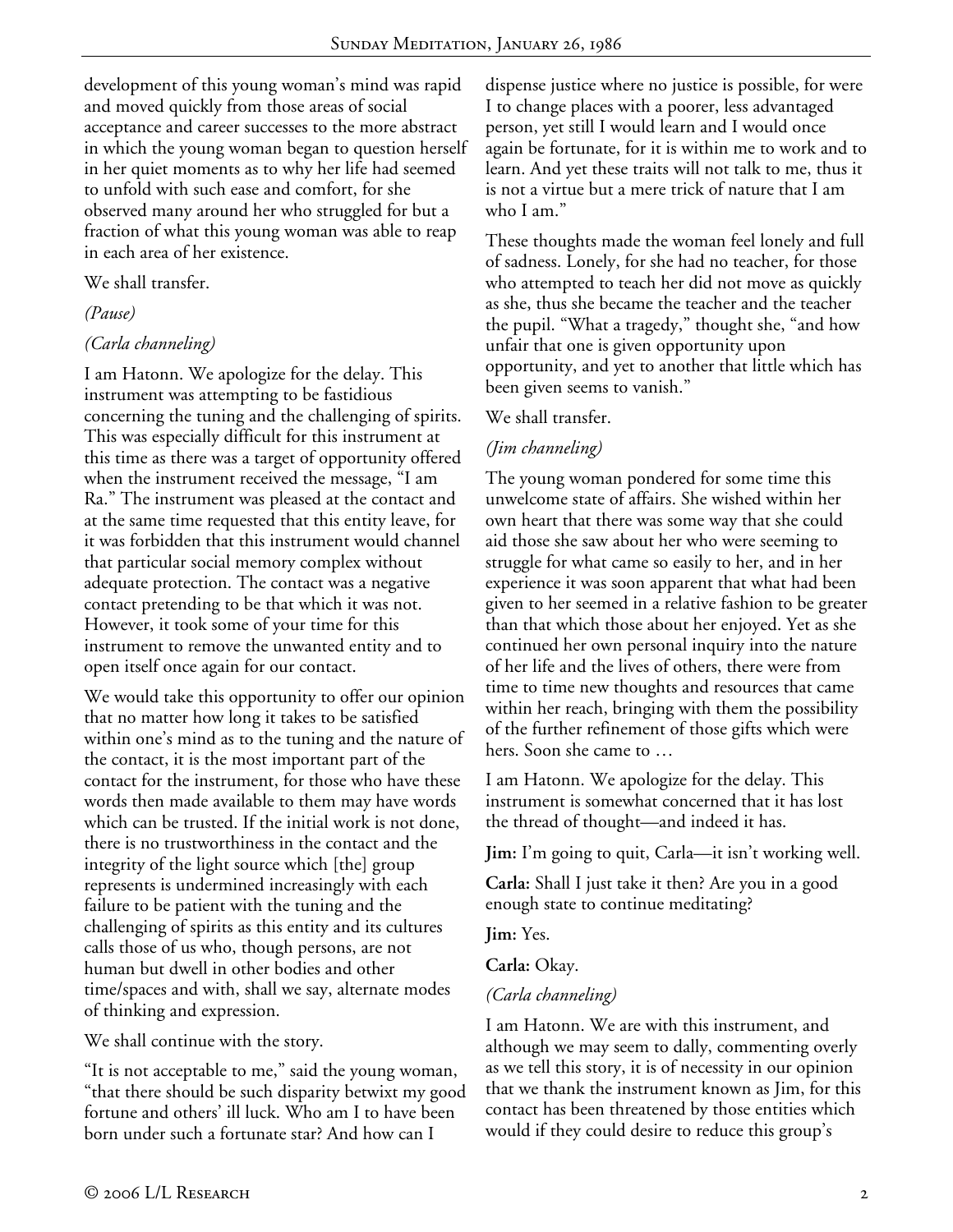development of this young woman's mind was rapid and moved quickly from those areas of social acceptance and career successes to the more abstract in which the young woman began to question herself in her quiet moments as to why her life had seemed to unfold with such ease and comfort, for she observed many around her who struggled for but a fraction of what this young woman was able to reap in each area of her existence.

### We shall transfer.

*(Pause)* 

# *(Carla channeling)*

I am Hatonn. We apologize for the delay. This instrument was attempting to be fastidious concerning the tuning and the challenging of spirits. This was especially difficult for this instrument at this time as there was a target of opportunity offered when the instrument received the message, "I am Ra." The instrument was pleased at the contact and at the same time requested that this entity leave, for it was forbidden that this instrument would channel that particular social memory complex without adequate protection. The contact was a negative contact pretending to be that which it was not. However, it took some of your time for this instrument to remove the unwanted entity and to open itself once again for our contact.

We would take this opportunity to offer our opinion that no matter how long it takes to be satisfied within one's mind as to the tuning and the nature of the contact, it is the most important part of the contact for the instrument, for those who have these words then made available to them may have words which can be trusted. If the initial work is not done, there is no trustworthiness in the contact and the integrity of the light source which [the] group represents is undermined increasingly with each failure to be patient with the tuning and the challenging of spirits as this entity and its cultures calls those of us who, though persons, are not human but dwell in other bodies and other time/spaces and with, shall we say, alternate modes of thinking and expression.

We shall continue with the story.

"It is not acceptable to me," said the young woman, "that there should be such disparity betwixt my good fortune and others' ill luck. Who am I to have been born under such a fortunate star? And how can I

dispense justice where no justice is possible, for were I to change places with a poorer, less advantaged person, yet still I would learn and I would once again be fortunate, for it is within me to work and to learn. And yet these traits will not talk to me, thus it is not a virtue but a mere trick of nature that I am who I am."

These thoughts made the woman feel lonely and full of sadness. Lonely, for she had no teacher, for those who attempted to teach her did not move as quickly as she, thus she became the teacher and the teacher the pupil. "What a tragedy," thought she, "and how unfair that one is given opportunity upon opportunity, and yet to another that little which has been given seems to vanish."

### We shall transfer.

# *(Jim channeling)*

The young woman pondered for some time this unwelcome state of affairs. She wished within her own heart that there was some way that she could aid those she saw about her who were seeming to struggle for what came so easily to her, and in her experience it was soon apparent that what had been given to her seemed in a relative fashion to be greater than that which those about her enjoyed. Yet as she continued her own personal inquiry into the nature of her life and the lives of others, there were from time to time new thoughts and resources that came within her reach, bringing with them the possibility of the further refinement of those gifts which were hers. Soon she came to …

I am Hatonn. We apologize for the delay. This instrument is somewhat concerned that it has lost the thread of thought—and indeed it has.

**Jim:** I'm going to quit, Carla—it isn't working well.

**Carla:** Shall I just take it then? Are you in a good enough state to continue meditating?

**Jim:** Yes.

**Carla:** Okay.

# *(Carla channeling)*

I am Hatonn. We are with this instrument, and although we may seem to dally, commenting overly as we tell this story, it is of necessity in our opinion that we thank the instrument known as Jim, for this contact has been threatened by those entities which would if they could desire to reduce this group's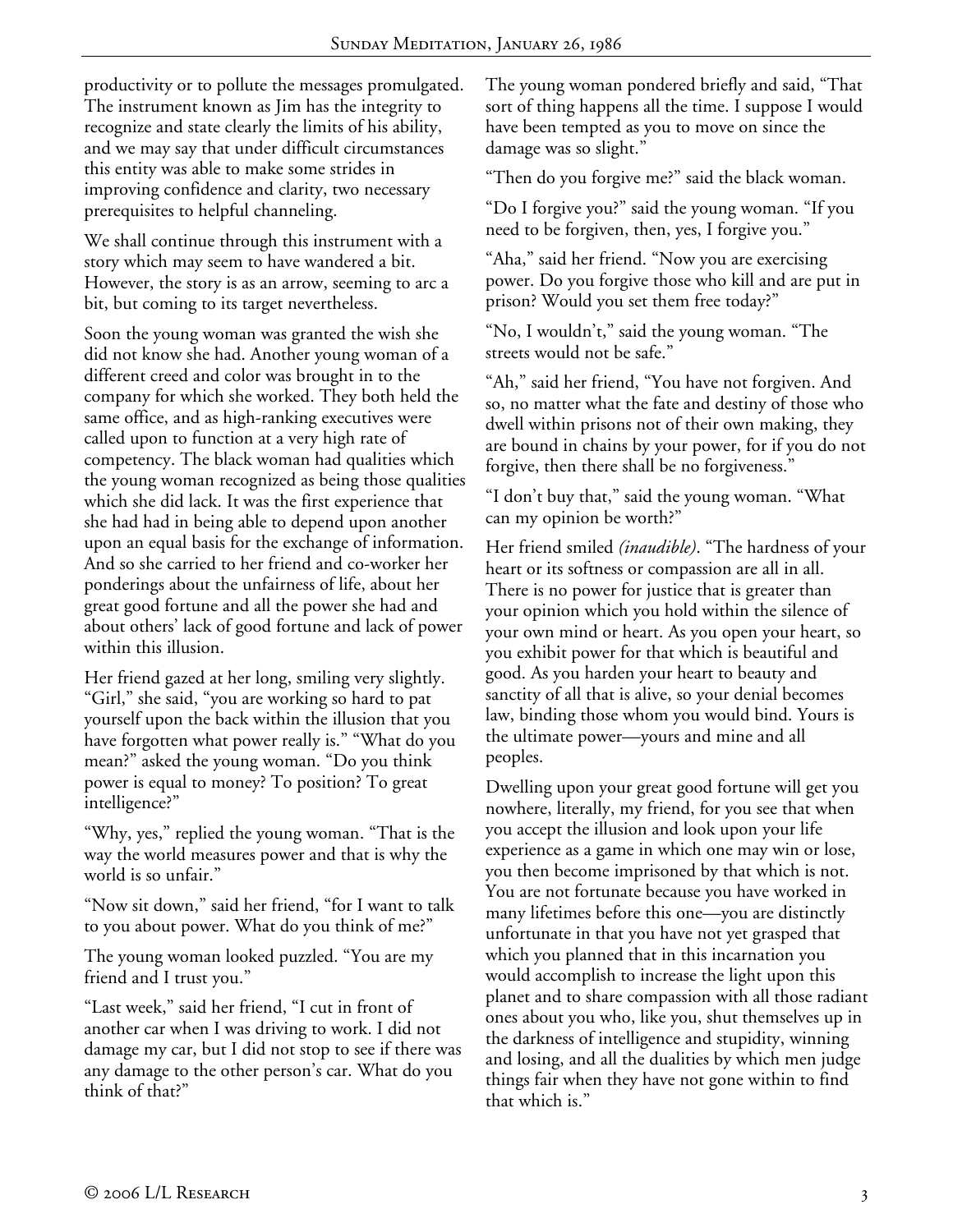productivity or to pollute the messages promulgated. The instrument known as Jim has the integrity to recognize and state clearly the limits of his ability, and we may say that under difficult circumstances this entity was able to make some strides in improving confidence and clarity, two necessary prerequisites to helpful channeling.

We shall continue through this instrument with a story which may seem to have wandered a bit. However, the story is as an arrow, seeming to arc a bit, but coming to its target nevertheless.

Soon the young woman was granted the wish she did not know she had. Another young woman of a different creed and color was brought in to the company for which she worked. They both held the same office, and as high-ranking executives were called upon to function at a very high rate of competency. The black woman had qualities which the young woman recognized as being those qualities which she did lack. It was the first experience that she had had in being able to depend upon another upon an equal basis for the exchange of information. And so she carried to her friend and co-worker her ponderings about the unfairness of life, about her great good fortune and all the power she had and about others' lack of good fortune and lack of power within this illusion.

Her friend gazed at her long, smiling very slightly. "Girl," she said, "you are working so hard to pat yourself upon the back within the illusion that you have forgotten what power really is." "What do you mean?" asked the young woman. "Do you think power is equal to money? To position? To great intelligence?"

"Why, yes," replied the young woman. "That is the way the world measures power and that is why the world is so unfair."

"Now sit down," said her friend, "for I want to talk to you about power. What do you think of me?"

The young woman looked puzzled. "You are my friend and I trust you."

"Last week," said her friend, "I cut in front of another car when I was driving to work. I did not damage my car, but I did not stop to see if there was any damage to the other person's car. What do you think of that?"

The young woman pondered briefly and said, "That sort of thing happens all the time. I suppose I would have been tempted as you to move on since the damage was so slight."

"Then do you forgive me?" said the black woman.

"Do I forgive you?" said the young woman. "If you need to be forgiven, then, yes, I forgive you."

"Aha," said her friend. "Now you are exercising power. Do you forgive those who kill and are put in prison? Would you set them free today?"

"No, I wouldn't," said the young woman. "The streets would not be safe."

"Ah," said her friend, "You have not forgiven. And so, no matter what the fate and destiny of those who dwell within prisons not of their own making, they are bound in chains by your power, for if you do not forgive, then there shall be no forgiveness."

"I don't buy that," said the young woman. "What can my opinion be worth?"

Her friend smiled *(inaudible)*. "The hardness of your heart or its softness or compassion are all in all. There is no power for justice that is greater than your opinion which you hold within the silence of your own mind or heart. As you open your heart, so you exhibit power for that which is beautiful and good. As you harden your heart to beauty and sanctity of all that is alive, so your denial becomes law, binding those whom you would bind. Yours is the ultimate power—yours and mine and all peoples.

Dwelling upon your great good fortune will get you nowhere, literally, my friend, for you see that when you accept the illusion and look upon your life experience as a game in which one may win or lose, you then become imprisoned by that which is not. You are not fortunate because you have worked in many lifetimes before this one—you are distinctly unfortunate in that you have not yet grasped that which you planned that in this incarnation you would accomplish to increase the light upon this planet and to share compassion with all those radiant ones about you who, like you, shut themselves up in the darkness of intelligence and stupidity, winning and losing, and all the dualities by which men judge things fair when they have not gone within to find that which is."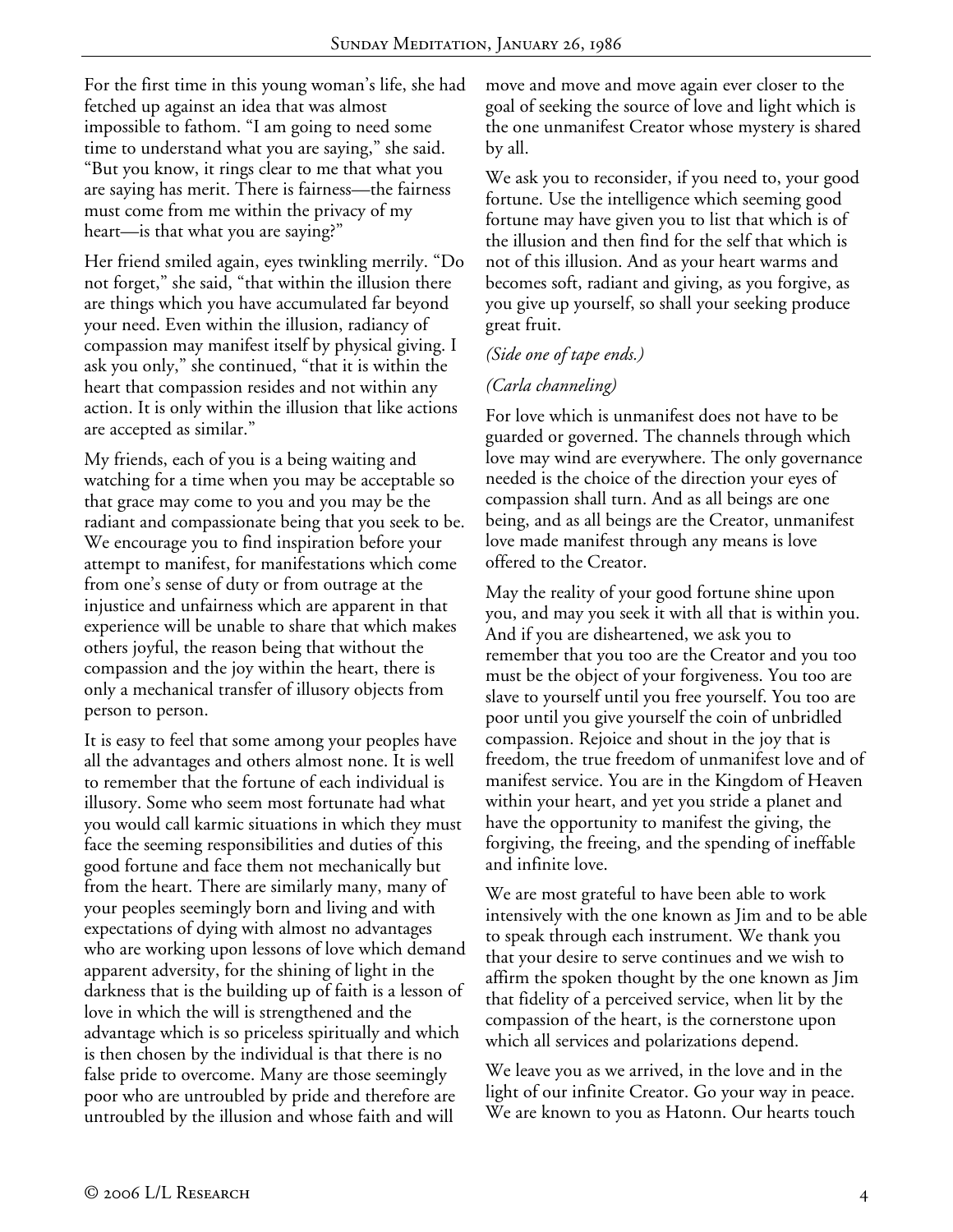For the first time in this young woman's life, she had fetched up against an idea that was almost impossible to fathom. "I am going to need some time to understand what you are saying," she said. "But you know, it rings clear to me that what you are saying has merit. There is fairness—the fairness must come from me within the privacy of my heart—is that what you are saying?"

Her friend smiled again, eyes twinkling merrily. "Do not forget," she said, "that within the illusion there are things which you have accumulated far beyond your need. Even within the illusion, radiancy of compassion may manifest itself by physical giving. I ask you only," she continued, "that it is within the heart that compassion resides and not within any action. It is only within the illusion that like actions are accepted as similar."

My friends, each of you is a being waiting and watching for a time when you may be acceptable so that grace may come to you and you may be the radiant and compassionate being that you seek to be. We encourage you to find inspiration before your attempt to manifest, for manifestations which come from one's sense of duty or from outrage at the injustice and unfairness which are apparent in that experience will be unable to share that which makes others joyful, the reason being that without the compassion and the joy within the heart, there is only a mechanical transfer of illusory objects from person to person.

It is easy to feel that some among your peoples have all the advantages and others almost none. It is well to remember that the fortune of each individual is illusory. Some who seem most fortunate had what you would call karmic situations in which they must face the seeming responsibilities and duties of this good fortune and face them not mechanically but from the heart. There are similarly many, many of your peoples seemingly born and living and with expectations of dying with almost no advantages who are working upon lessons of love which demand apparent adversity, for the shining of light in the darkness that is the building up of faith is a lesson of love in which the will is strengthened and the advantage which is so priceless spiritually and which is then chosen by the individual is that there is no false pride to overcome. Many are those seemingly poor who are untroubled by pride and therefore are untroubled by the illusion and whose faith and will

move and move and move again ever closer to the goal of seeking the source of love and light which is the one unmanifest Creator whose mystery is shared by all.

We ask you to reconsider, if you need to, your good fortune. Use the intelligence which seeming good fortune may have given you to list that which is of the illusion and then find for the self that which is not of this illusion. And as your heart warms and becomes soft, radiant and giving, as you forgive, as you give up yourself, so shall your seeking produce great fruit.

### *(Side one of tape ends.)*

### *(Carla channeling)*

For love which is unmanifest does not have to be guarded or governed. The channels through which love may wind are everywhere. The only governance needed is the choice of the direction your eyes of compassion shall turn. And as all beings are one being, and as all beings are the Creator, unmanifest love made manifest through any means is love offered to the Creator.

May the reality of your good fortune shine upon you, and may you seek it with all that is within you. And if you are disheartened, we ask you to remember that you too are the Creator and you too must be the object of your forgiveness. You too are slave to yourself until you free yourself. You too are poor until you give yourself the coin of unbridled compassion. Rejoice and shout in the joy that is freedom, the true freedom of unmanifest love and of manifest service. You are in the Kingdom of Heaven within your heart, and yet you stride a planet and have the opportunity to manifest the giving, the forgiving, the freeing, and the spending of ineffable and infinite love.

We are most grateful to have been able to work intensively with the one known as Jim and to be able to speak through each instrument. We thank you that your desire to serve continues and we wish to affirm the spoken thought by the one known as Jim that fidelity of a perceived service, when lit by the compassion of the heart, is the cornerstone upon which all services and polarizations depend.

We leave you as we arrived, in the love and in the light of our infinite Creator. Go your way in peace. We are known to you as Hatonn. Our hearts touch